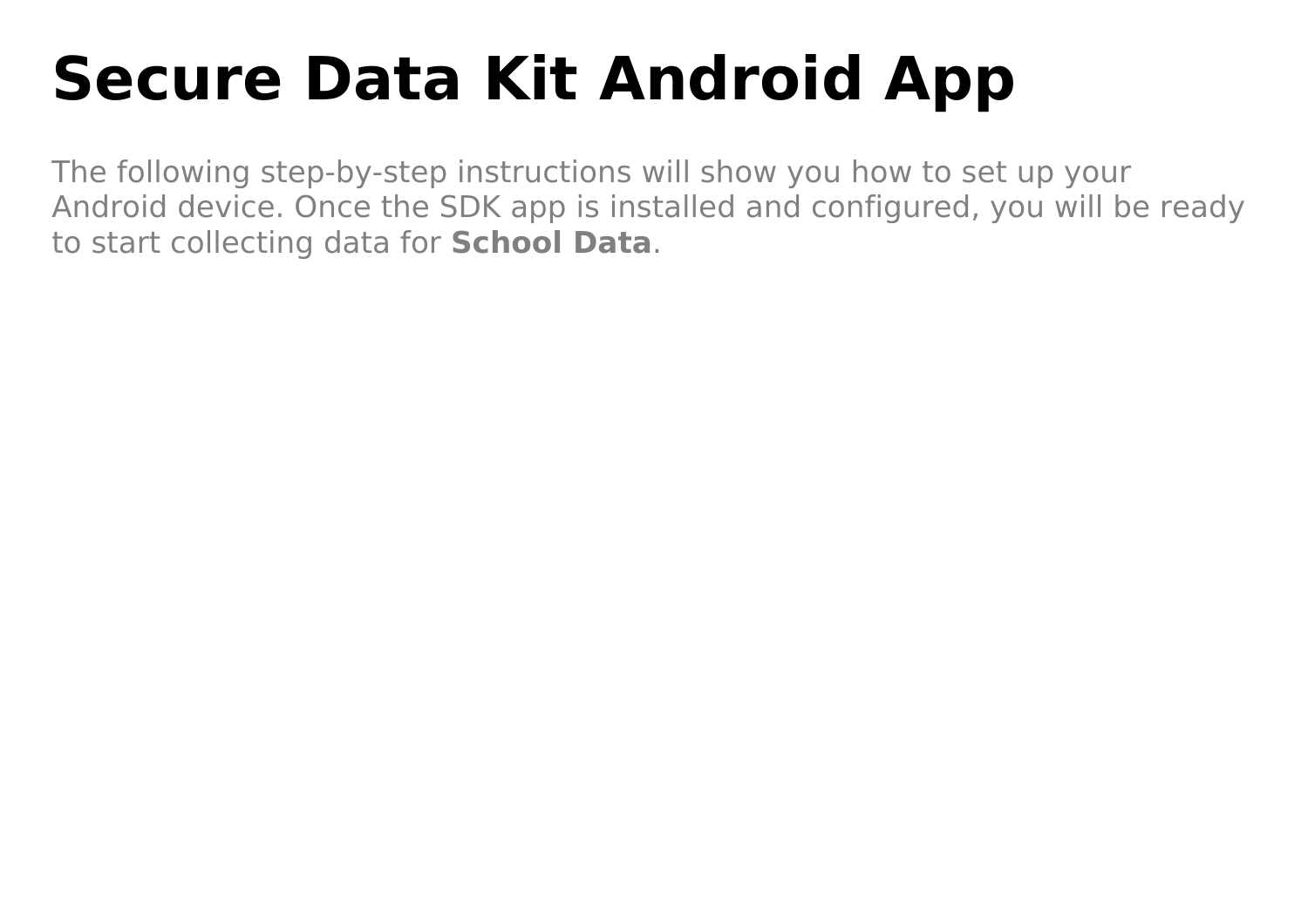# **Secure Data Kit Android App**

The following step-by-step instructions will show you how to set up your Android device. Once the SDK app is installed and configured, you will be ready to start collecting data for **School Data**.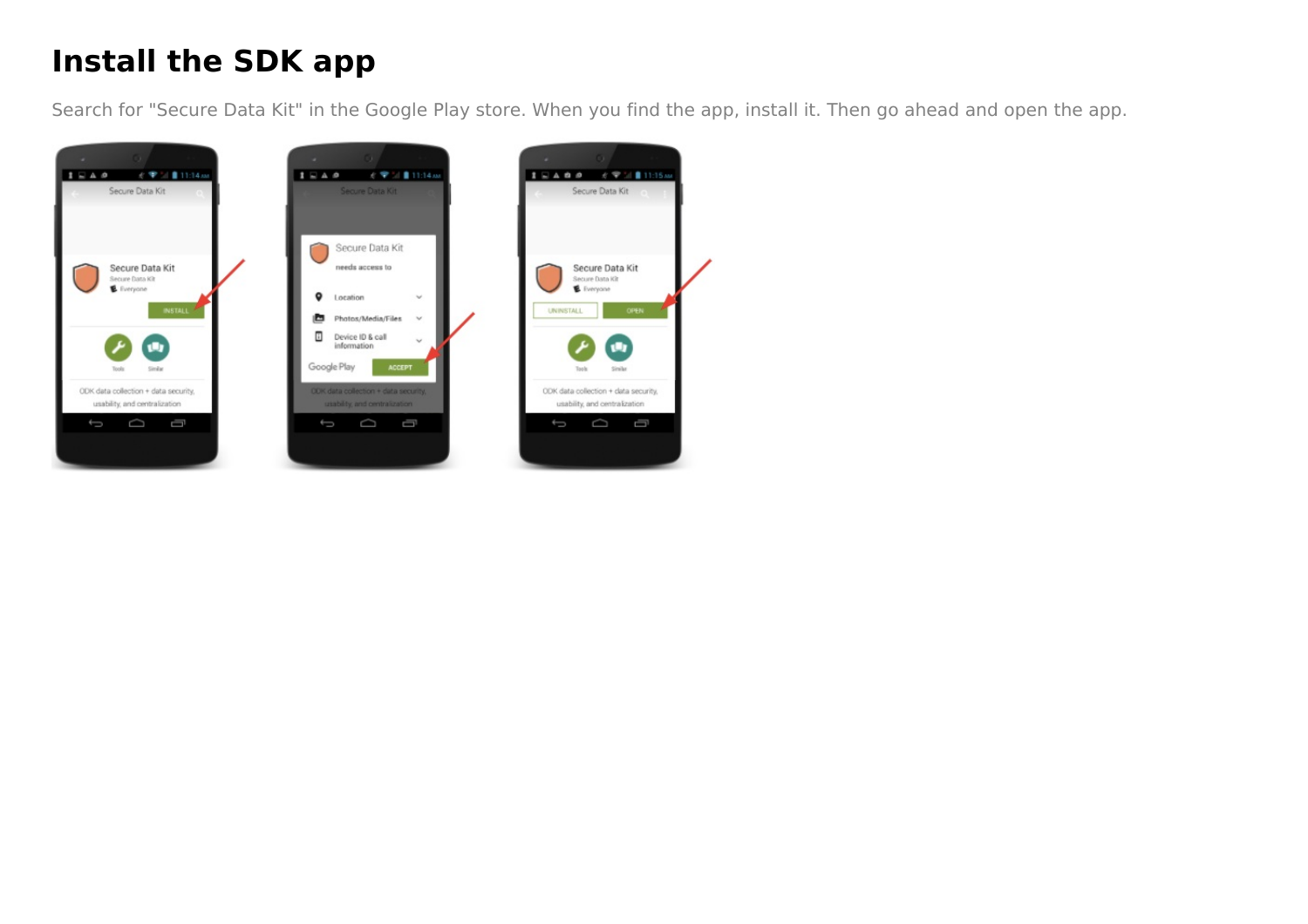## **Install the SDK app**

Search for "Secure Data Kit" in the Google Play store. When you find the app, install it. Then go ahead and open the app.

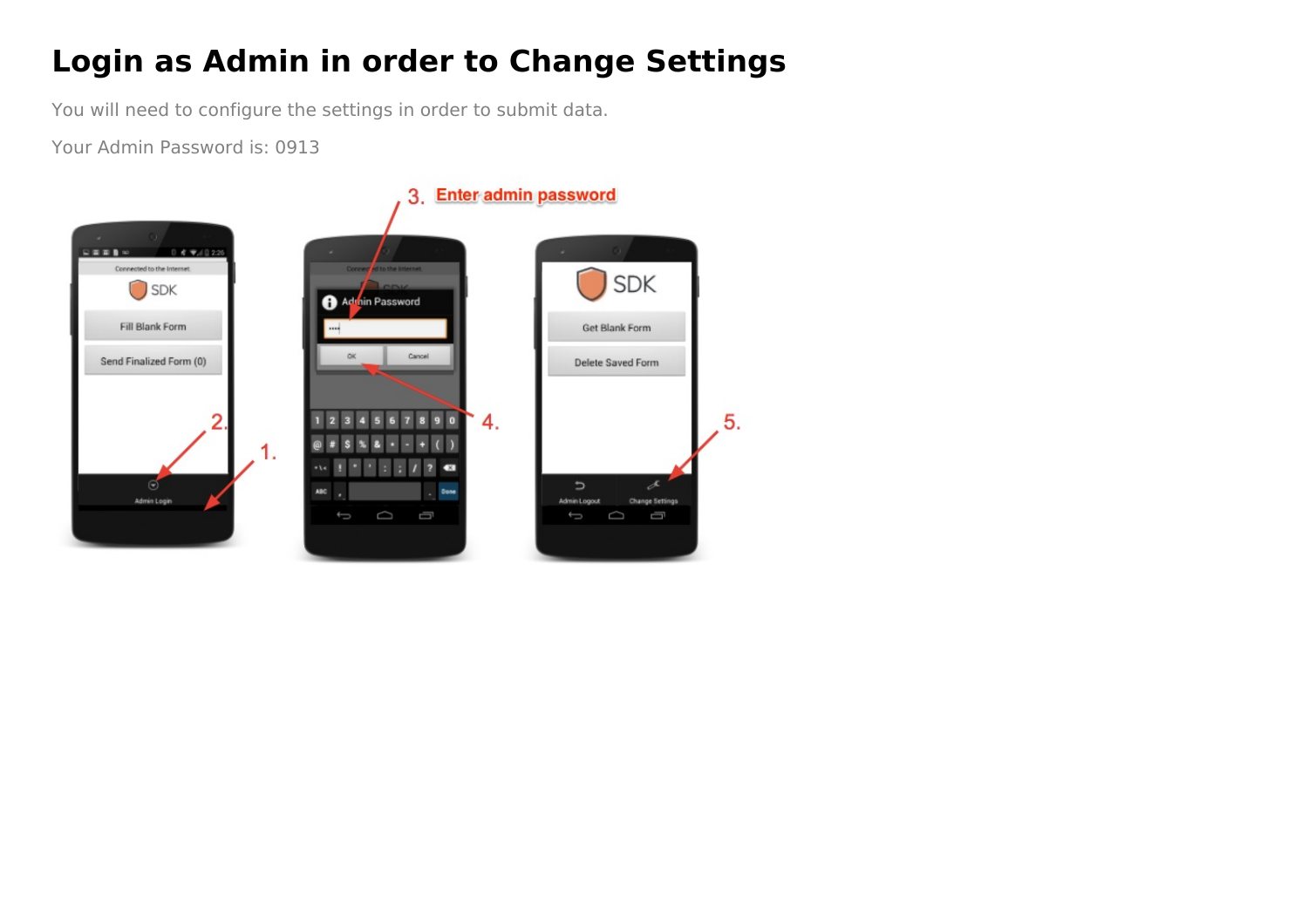### **Login as Admin in order to Change Settings**

You will need to configure the settings in order to submit data.

Your Admin Password is: 0913

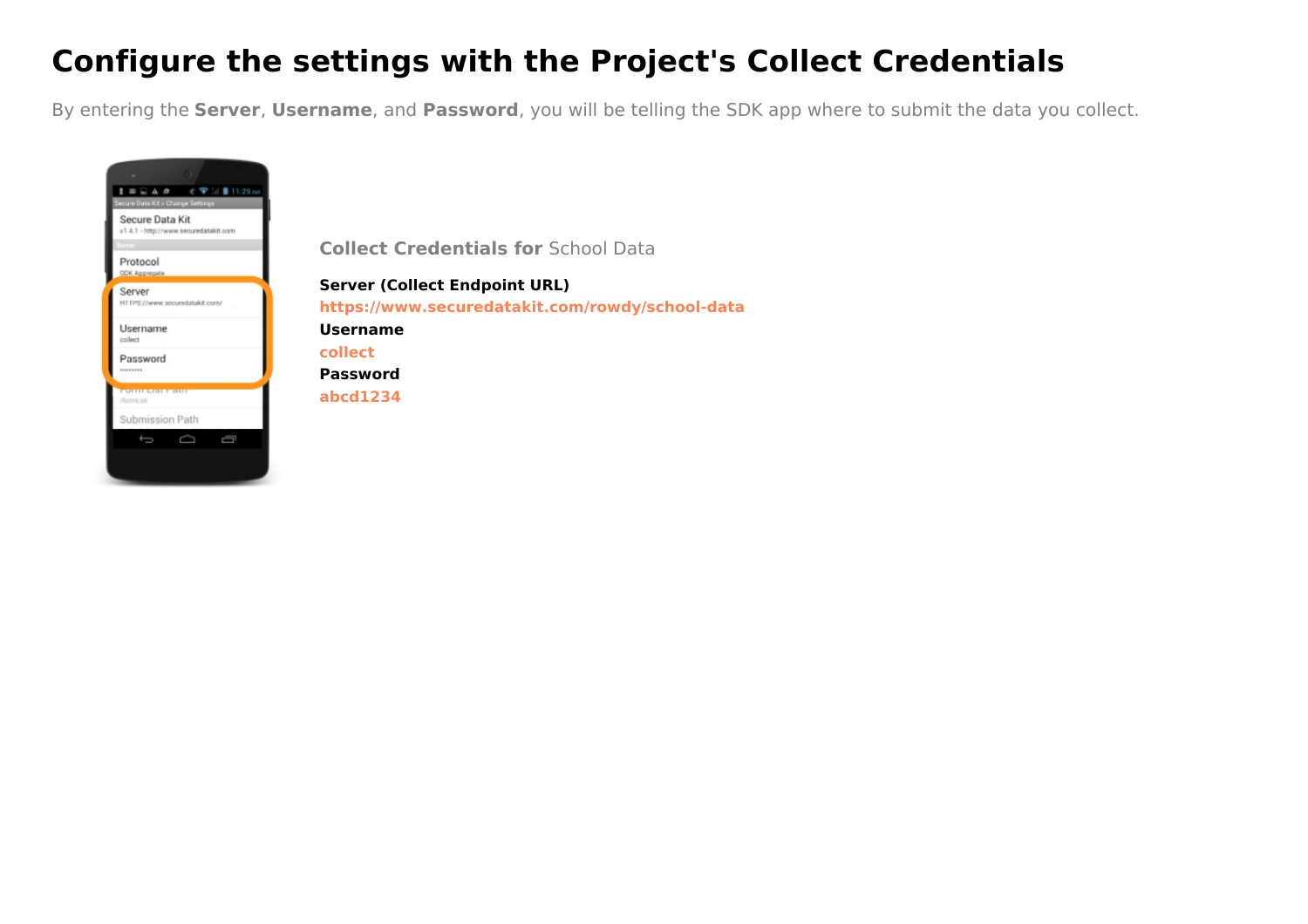#### **Configure the settings with the Project's Collect Credentials**

By entering the **Server**, **Username**, and **Password**, you will be telling the SDK app where to submit the data you collect.



**Collect Credentials for** School Data

**Server (Collect Endpoint URL) https://www.securedatakit.com/rowdy/school-data Username collect Password abcd1234**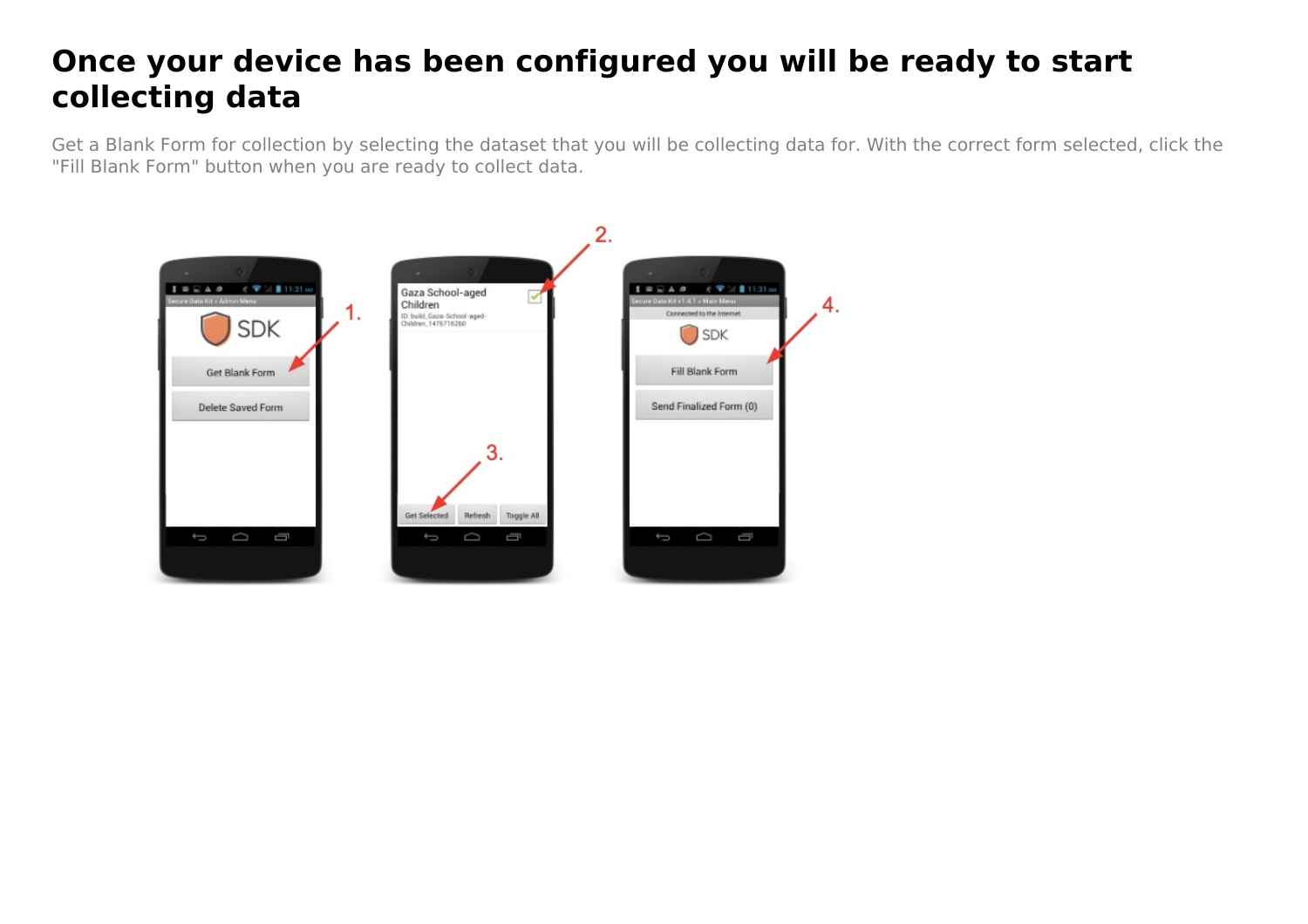#### **Once your device has been configured you will be ready to start collecting data**

Get a Blank Form for collection by selecting the dataset that you will be collecting data for. With the correct form selected, click the "Fill Blank Form" button when you are ready to collect data.

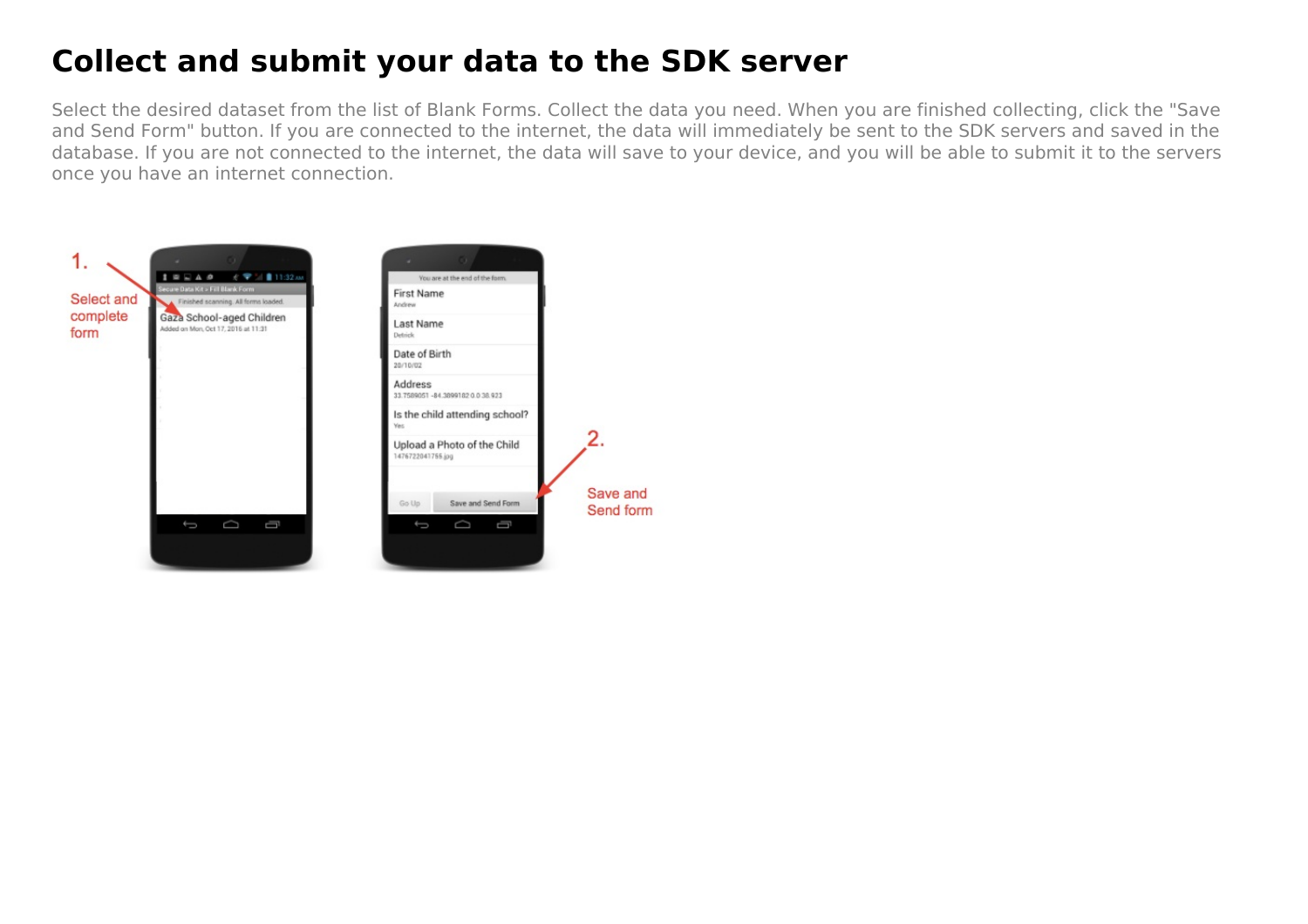#### **Collect and submit your data to the SDK server**

Select the desired dataset from the list of Blank Forms. Collect the data you need. When you are finished collecting, click the "Save and Send Form" button. If you are connected to the internet, the data will immediately be sent to the SDK servers and saved in the database. If you are not connected to the internet, the data will save to your device, and you will be able to submit it to the servers once you have an internet connection.